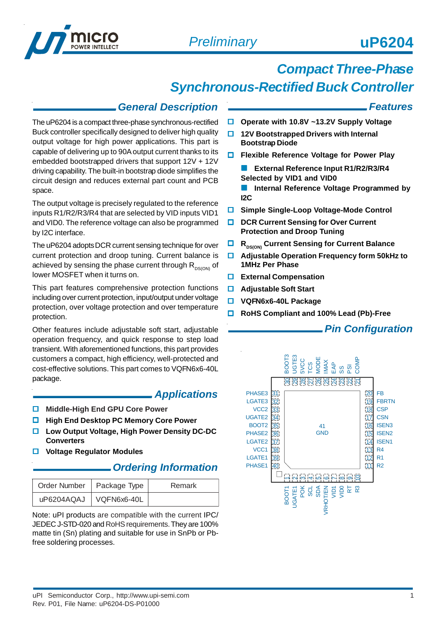

# *Compact Three-Phase*

# *Synchronous-Rectified Buck Controller*

### *General Description*

The uP6204 is a compact three-phase synchronous-rectified Buck controller specifically designed to deliver high quality output voltage for high power applications. This part is capable of delivering up to 90A output current thanks to its embedded bootstrapped drivers that support 12V + 12V driving capability. The built-in bootstrap diode simplifies the circuit design and reduces external part count and PCB space.

The output voltage is precisely regulated to the reference inputs R1/R2/R3/R4 that are selected by VID inputs VID1 and VID0. The reference voltage can also be programmed by I2C interface.

The uP6204 adopts DCR current sensing technique for over current protection and droop tuning. Current balance is achieved by sensing the phase current through  $R_{DS(ON)}$  of lower MOSFET when it turns on.

This part features comprehensive protection functions including over current protection, input/output under voltage protection, over voltage protection and over temperature protection.

Other features include adjustable soft start, adjustable operation frequency, and quick response to step load transient. With aforementioned functions, this part provides customers a compact, high efficiency, well-protected and cost-effective solutions. This part comes to VQFN6x6-40L package.

#### *Applications*

- **Middle-High End GPU Core Power**
- **High End Desktop PC Memory Core Power**
- **Low Output Voltage, High Power Density DC-DC Converters**
- **Voltage Regulator Modules**

### *Ordering Information*

| Order Number   Package Type | Remark |
|-----------------------------|--------|
| uP6204AQAJ   VQFN6x6-40L    |        |

Note: uPI products are compatible with the current IPC/ JEDEC J-STD-020 and RoHS requirements. They are 100% matte tin (Sn) plating and suitable for use in SnPb or Pbfree soldering processes.

#### *Features*

- **Operate with 10.8V ~13.2V Supply Voltage**
- **12V Bootstrapped Drivers with Internal Bootstrap Diode**
- **Flexible Reference Voltage for Power Play**
	- **External Reference Input R1/R2/R3/R4 Selected by VID1 and VID0**

**Internal Reference Voltage Programmed by I2C**

- **Simple Single-Loop Voltage-Mode Control**
- **DCR Current Sensing for Over Current Protection and Droop Tuning**
- **R**<sub>ns(ON)</sub> Current Sensing for Current Balance
- **Adjustable Operation Frequency form 50kHz to 1MHz Per Phase**
- **External Compensation**
- **Adjustable Soft Start**
- **VQFN6x6-40L Package**
- **RoHS Compliant and 100% Lead (Pb)-Free**

### *Pin Configuration*

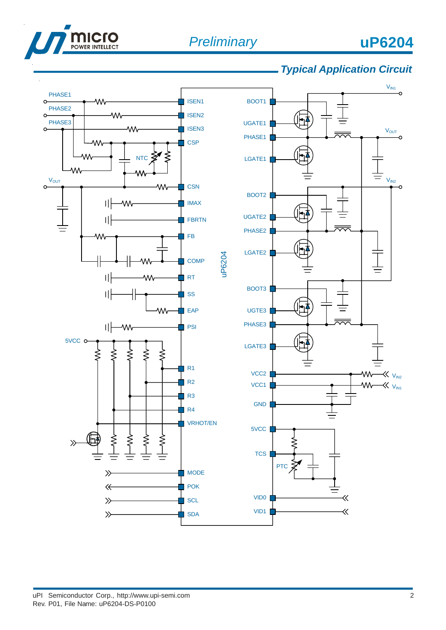

### *Typical Application Circuit*

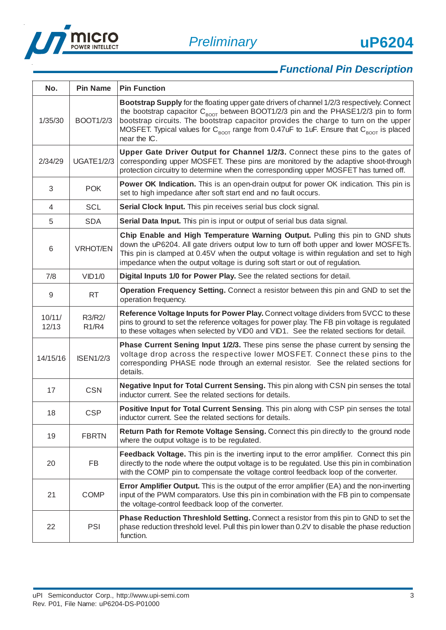



# *Functional Pin Description*

| No.             | <b>Pin Name</b>        | <b>Pin Function</b>                                                                                                                                                                                                                                                                                                                                                                                                     |
|-----------------|------------------------|-------------------------------------------------------------------------------------------------------------------------------------------------------------------------------------------------------------------------------------------------------------------------------------------------------------------------------------------------------------------------------------------------------------------------|
| 1/35/30         | <b>BOOT1/2/3</b>       | Bootstrap Supply for the floating upper gate drivers of channel 1/2/3 respectively. Connect<br>the bootstrap capacitor $C_{\text{foot}}$ between BOOT1/2/3 pin and the PHASE1/2/3 pin to form<br>bootstrap circuits. The bootstrap capacitor provides the charge to turn on the upper<br>MOSFET. Typical values for $C_{\text{BOOT}}$ range from 0.47uF to 1uF. Ensure that $C_{\text{ROOT}}$ is placed<br>near the IC. |
| 2/34/29         | <b>UGATE1/2/3</b>      | Upper Gate Driver Output for Channel 1/2/3. Connect these pins to the gates of<br>corresponding upper MOSFET. These pins are monitored by the adaptive shoot-through<br>protection circuitry to determine when the corresponding upper MOSFET has turned off.                                                                                                                                                           |
| 3               | <b>POK</b>             | Power OK Indication. This is an open-drain output for power OK indication. This pin is<br>set to high impedance after soft start end and no fault occurs.                                                                                                                                                                                                                                                               |
| 4               | <b>SCL</b>             | Serial Clock Input. This pin receives serial bus clock signal.                                                                                                                                                                                                                                                                                                                                                          |
| 5               | <b>SDA</b>             | Serial Data Input. This pin is input or output of serial bus data signal.                                                                                                                                                                                                                                                                                                                                               |
| 6               | <b>VRHOT/EN</b>        | Chip Enable and High Temperature Warning Output. Pulling this pin to GND shuts<br>down the uP6204. All gate drivers output low to turn off both upper and lower MOSFETs.<br>This pin is clamped at 0.45V when the output voltage is within regulation and set to high<br>impedance when the output voltage is during soft start or out of regulation.                                                                   |
| 7/8             | VID1/0                 | Digital Inputs 1/0 for Power Play. See the related sections for detail.                                                                                                                                                                                                                                                                                                                                                 |
| 9               | <b>RT</b>              | Operation Frequency Setting. Connect a resistor between this pin and GND to set the<br>operation frequency.                                                                                                                                                                                                                                                                                                             |
| 10/11/<br>12/13 | R3/R2/<br><b>R1/R4</b> | Reference Voltage Inputs for Power Play. Connect voltage dividers from 5VCC to these<br>pins to ground to set the reference voltages for power play. The FB pin voltage is regulated<br>to these voltages when selected by VID0 and VID1. See the related sections for detail.                                                                                                                                          |
| 14/15/16        | <b>ISEN1/2/3</b>       | <b>Phase Current Sening Input 1/2/3.</b> These pins sense the phase current by sensing the<br>voltage drop across the respective lower MOSFET. Connect these pins to the<br>corresponding PHASE node through an external resistor. See the related sections for<br>details.                                                                                                                                             |
| 17              | <b>CSN</b>             | Negative Input for Total Current Sensing. This pin along with CSN pin senses the total<br>inductor current. See the related sections for details.                                                                                                                                                                                                                                                                       |
| 18              | <b>CSP</b>             | Positive Input for Total Current Sensing. This pin along with CSP pin senses the total<br>inductor current. See the related sections for details.                                                                                                                                                                                                                                                                       |
| 19              | <b>FBRTN</b>           | Return Path for Remote Voltage Sensing. Connect this pin directly to the ground node<br>where the output voltage is to be regulated.                                                                                                                                                                                                                                                                                    |
| 20              | <b>FB</b>              | Feedback Voltage. This pin is the inverting input to the error amplifier. Connect this pin<br>directly to the node where the output voltage is to be regulated. Use this pin in combination<br>with the COMP pin to compensate the voltage control feedback loop of the converter.                                                                                                                                      |
| 21              | <b>COMP</b>            | <b>Error Amplifier Output.</b> This is the output of the error amplifier (EA) and the non-inverting<br>input of the PWM comparators. Use this pin in combination with the FB pin to compensate<br>the voltage-control feedback loop of the converter.                                                                                                                                                                   |
| 22              | PSI                    | <b>Phase Reduction Threshlold Setting.</b> Connect a resistor from this pin to GND to set the<br>phase reduction threshold level. Pull this pin lower than 0.2V to disable the phase reduction<br>function.                                                                                                                                                                                                             |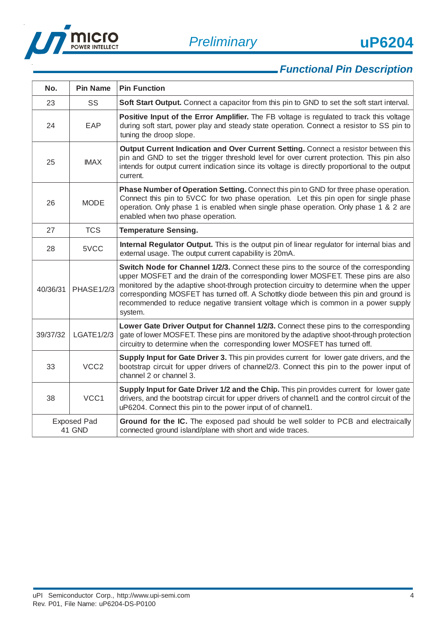



# *Functional Pin Description*

| No.                          | <b>Pin Name</b>   | <b>Pin Function</b>                                                                                                                                                                                                                                                                                                                                                                                                                                            |
|------------------------------|-------------------|----------------------------------------------------------------------------------------------------------------------------------------------------------------------------------------------------------------------------------------------------------------------------------------------------------------------------------------------------------------------------------------------------------------------------------------------------------------|
| 23                           | <b>SS</b>         | Soft Start Output. Connect a capacitor from this pin to GND to set the soft start interval.                                                                                                                                                                                                                                                                                                                                                                    |
| 24                           | EAP               | Positive Input of the Error Amplifier. The FB voltage is regulated to track this voltage<br>during soft start, power play and steady state operation. Connect a resistor to SS pin to<br>tuning the droop slope.                                                                                                                                                                                                                                               |
| 25                           | <b>IMAX</b>       | Output Current Indication and Over Current Setting. Connect a resistor between this<br>pin and GND to set the trigger threshold level for over current protection. This pin also<br>intends for output current indication since its voltage is directly proportional to the output<br>current.                                                                                                                                                                 |
| 26                           | <b>MODE</b>       | Phase Number of Operation Setting. Connect this pin to GND for three phase operation.<br>Connect this pin to 5VCC for two phase operation. Let this pin open for single phase<br>operation. Only phase 1 is enabled when single phase operation. Only phase 1 & 2 are<br>enabled when two phase operation.                                                                                                                                                     |
| 27                           | <b>TCS</b>        | <b>Temperature Sensing.</b>                                                                                                                                                                                                                                                                                                                                                                                                                                    |
| 28                           | 5VCC              | Internal Regulator Output. This is the output pin of linear regulator for internal bias and<br>external usage. The output current capability is 20mA.                                                                                                                                                                                                                                                                                                          |
| 40/36/31                     | <b>PHASE1/2/3</b> | Switch Node for Channel 1/2/3. Connect these pins to the source of the corresponding<br>upper MOSFET and the drain of the corresponding lower MOSFET. These pins are also<br>monitored by the adaptive shoot-through protection circuitry to determine when the upper<br>corresponding MOSFET has turned off. A Schottky diode between this pin and ground is<br>recommended to reduce negative transient voltage which is common in a power supply<br>system. |
| 39/37/32                     | LGATE1/2/3        | Lower Gate Driver Output for Channel 1/2/3. Connect these pins to the corresponding<br>gate of lower MOSFET. These pins are monitored by the adaptive shoot-through protection<br>circuitry to determine when the corresponding lower MOSFET has turned off.                                                                                                                                                                                                   |
| 33                           | VCC <sub>2</sub>  | Supply Input for Gate Driver 3. This pin provides current for lower gate drivers, and the<br>bootstrap circuit for upper drivers of channel2/3. Connect this pin to the power input of<br>channel 2 or channel 3.                                                                                                                                                                                                                                              |
| 38                           | VCC1              | Supply Input for Gate Driver 1/2 and the Chip. This pin provides current for lower gate<br>drivers, and the bootstrap circuit for upper drivers of channel1 and the control circuit of the<br>uP6204. Connect this pin to the power input of of channel1.                                                                                                                                                                                                      |
| <b>Exposed Pad</b><br>41 GND |                   | Ground for the IC. The exposed pad should be well solder to PCB and electraically<br>connected ground island/plane with short and wide traces.                                                                                                                                                                                                                                                                                                                 |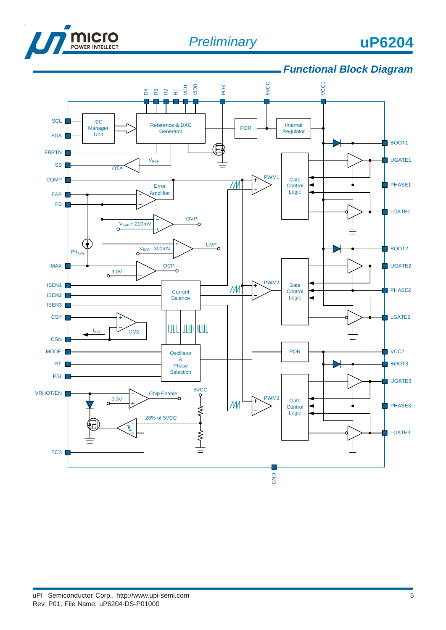

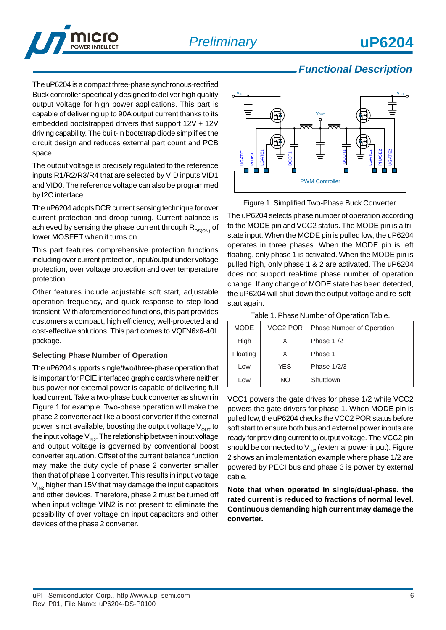

### *Functional Description*

The uP6204 is a compact three-phase synchronous-rectified Buck controller specifically designed to deliver high quality output voltage for high power applications. This part is capable of delivering up to 90A output current thanks to its embedded bootstrapped drivers that support 12V + 12V driving capability. The built-in bootstrap diode simplifies the circuit design and reduces external part count and PCB space.

The output voltage is precisely regulated to the reference inputs R1/R2/R3/R4 that are selected by VID inputs VID1 and VID0. The reference voltage can also be programmed by I2C interface.

The uP6204 adopts DCR current sensing technique for over current protection and droop tuning. Current balance is achieved by sensing the phase current through  $R_{DS(ON)}$  of lower MOSFET when it turns on.

This part features comprehensive protection functions including over current protection, input/output under voltage protection, over voltage protection and over temperature protection.

Other features include adjustable soft start, adjustable operation frequency, and quick response to step load transient. With aforementioned functions, this part provides customers a compact, high efficiency, well-protected and cost-effective solutions. This part comes to VQFN6x6-40L package.

#### **Selecting Phase Number of Operation**

The uP6204 supports single/two/three-phase operation that is important for PCIE interfaced graphic cards where neither bus power nor external power is capable of delivering full load current. Take a two-phase buck converter as shown in Figure 1 for example. Two-phase operation will make the phase 2 converter act like a boost converter if the external power is not available, boosting the output voltage  $V_{\text{out}}$  to the input voltage  $V_{\text{IN2}}$ . The relationship between input voltage and output voltage is governed by conventional boost converter equation. Offset of the current balance function may make the duty cycle of phase 2 converter smaller than that of phase 1 converter. This results in input voltage  $V_{\text{IN2}}$  higher than 15V that may damage the input capacitors and other devices. Therefore, phase 2 must be turned off when input voltage VIN2 is not present to eliminate the possibility of over voltage on input capacitors and other devices of the phase 2 converter.



Figure 1. Simplified Two-Phase Buck Converter.

The uP6204 selects phase number of operation according to the MODE pin and VCC2 status. The MODE pin is a tristate input. When the MODE pin is pulled low, the uP6204 operates in three phases. When the MODE pin is left floating, only phase 1 is activated. When the MODE pin is pulled high, only phase 1 & 2 are activated. The uP6204 does not support real-time phase number of operation change. If any change of MODE state has been detected, the uP6204 will shut down the output voltage and re-softstart again.

| <b>MODE</b> | VCC2 POR   | Phase Number of Operation |
|-------------|------------|---------------------------|
| High        | X.         | Phase 1/2                 |
| Floating    | x          | <b>Phase 1</b>            |
| Low         | <b>YES</b> | Phase 1/2/3               |
| Low         | NO.        | Shutdown                  |

Table 1. Phase Number of Operation Table.

VCC1 powers the gate drives for phase 1/2 while VCC2 powers the gate drivers for phase 1. When MODE pin is pulled low, the uP6204 checks the VCC2 POR status before soft start to ensure both bus and external power inputs are ready for providing current to output voltage. The VCC2 pin should be connected to  $V_{N2}$  (external power input). Figure 2 shows an implementation example where phase 1/2 are powered by PECI bus and phase 3 is power by external cable.

**Note that when operated in single/dual-phase, the rated current is reduced to fractions of normal level. Continuous demanding high current may damage the converter.**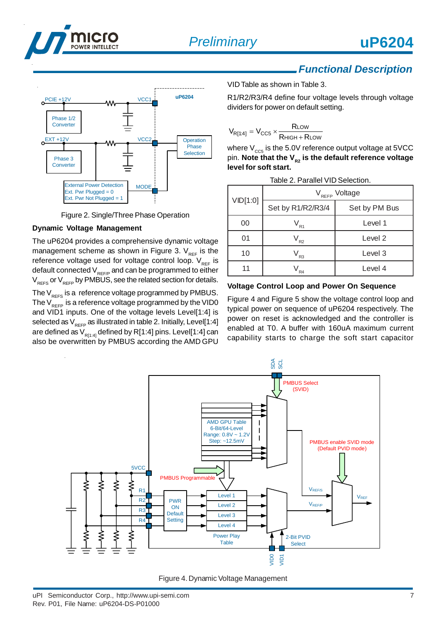

Phase 1/2 **Converter** 

Phase 3 **Converter** 



### *Functional Description*



R1/R2/R3/R4 define four voltage levels through voltage dividers for power on default setting.

$$
V_{R[1:4]} = V_{CC5} \times \frac{R_{LOW}}{R_{HIGH} + R_{LOW}}
$$

where  $V_{\text{ccs}}$  is the 5.0V reference output voltage at 5VCC pin. Note that the V<sub>R2</sub> is the default reference voltage **level for soft start.**

| Table 2. Parallel VID Selection. |                            |                    |  |  |  |
|----------------------------------|----------------------------|--------------------|--|--|--|
|                                  | V <sub>REFP</sub> Voltage  |                    |  |  |  |
| VID[1:0]                         | Set by R1/R2/R3/4          | Set by PM Bus      |  |  |  |
| 00                               | $\mathsf{V}_{\mathsf{R1}}$ | Level 1            |  |  |  |
| 01                               | $\mathsf{V}_{\mathsf{R2}}$ | Level <sub>2</sub> |  |  |  |
| 10                               | $\frac{1}{R_3}$            | Level 3            |  |  |  |
| 11                               | R <sub>4</sub>             | Level 4            |  |  |  |

Ext. Pwr Not Plugged = 1

**Operation** Phase Selection

Figure 2. Single/Three Phase Operation

External Power Detection MODE

VCC.

**PCIE +12V 4AA VCC1 UP6204** 

#### **Dynamic Voltage Management**

Ext. Pwr Plugged =  $0$ 

 $\circ$ <sup>EXT +12V</sup>  $\bullet$  AAA VCC

The uP6204 provides a comprehensive dynamic voltage management scheme as shown in Figure 3.  $V_{REF}$  is the reference voltage used for voltage control loop.  $V_{per}$  is default connected  $V_{REF/P}$  and can be programmed to either  $V_{REFS}$  or  $V_{REFP}$  by PMBUS, see the related section for details. The  $V_{REFS}$  is a reference voltage programmed by PMBUS.

The  $V_{RFFP}$  is a reference voltage programmed by the VID0 and VID1 inputs. One of the voltage levels Level[1:4] is selected as  $V_{REP}$  as illustrated in table 2. Initially, Level[1:4] are defined as  $V_{R[1:4]}$  defined by R[1:4] pins. Level[1:4] can also be overwritten by PMBUS according the AMD GPU

#### **Voltage Control Loop and Power On Sequence**

Figure 4 and Figure 5 show the voltage control loop and typical power on sequence of uP6204 respectively. The power on reset is acknowledged and the controller is enabled at T0. A buffer with 160uA maximum current capability starts to charge the soft start capacitor



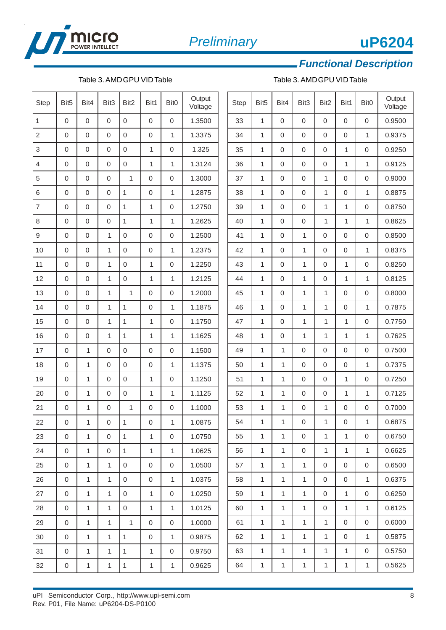

#### Table 3. AMD GPU VID Table  $\qquad \qquad$  Table 3. AMD GPU VID Table

*Functional Description*

| <b>Step</b>    | Bit <sub>5</sub> | Bit4           | Bit3             | Bit2         | Bit1        | Bit <sub>0</sub> | Output<br>Voltage |
|----------------|------------------|----------------|------------------|--------------|-------------|------------------|-------------------|
| 1              | 0                | 0              | 0                | 0            | 0           | 0                | 1.3500            |
| 2              | 0                | 0              | 0                | 0            | 0           | 1                | 1.3375            |
| 3              | $\mathbf 0$      | 0              | 0                | 0            | 1           | 0                | 1.325             |
| 4              | $\mathbf 0$      | $\mathbf 0$    | 0                | 0            | 1           | 1                | 1.3124            |
| 5              | $\mathbf 0$      | $\mathbf 0$    | $\mathbf 0$      | 1            | 0           | 0                | 1.3000            |
| 6              | 0                | 0              | 0                | 1            | 0           | 1                | 1.2875            |
| $\overline{7}$ | 0                | 0              | 0                | 1            | 1           | 0                | 1.2750            |
| 8              | $\mathbf 0$      | $\mathbf 0$    | $\mathbf 0$      | 1            | 1           | 1                | 1.2625            |
| 9              | $\mathbf 0$      | $\mathbf 0$    | 1                | 0            | 0           | 0                | 1.2500            |
| 10             | $\mathbf 0$      | $\mathbf 0$    | 1                | $\mathbf 0$  | 0           | 1                | 1.2375            |
| 11             | 0                | $\overline{0}$ | 1                | 0            | 1           | 0                | 1.2250            |
| 12             | 0                | 0              | 1                | $\mathbf 0$  | 1           | 1                | 1.2125            |
| 13             | 0                | 0              | 1                | 1            | 0           | 0                | 1.2000            |
| 14             | $\mathbf 0$      | $\mathbf 0$    | 1                | 1            | 0           | 1                | 1.1875            |
| 15             | $\mathbf 0$      | $\mathsf 0$    | 1                | $\mathbf 1$  | 1           | 0                | 1.1750            |
| 16             | 0                | 0              | 1                | 1            | 1           | 1                | 1.1625            |
| 17             | 0                | 1              | 0                | $\mathbf 0$  | 0           | 0                | 1.1500            |
| 18             | 0                | 1              | 0                | 0            | 0           | 1                | 1.1375            |
| 19             | $\mathbf 0$      | 1              | 0                | 0            | 1           | 0                | 1.1250            |
| 20             | $\mathbf 0$      | $\overline{1}$ | $\mathsf 0$      | 0            | 1           | $\overline{1}$   | 1.1125            |
| 21             | 0                | 1              | 0                | 1            | 0           | 0                | 1.1000            |
| 22             | 0                | 1              | $\boldsymbol{0}$ | $\mathbf{1}$ | 0           | $\mathbf{1}$     | 1.0875            |
| 23             | 0                | 1              | 0                | 1            | 1           | 0                | 1.0750            |
| 24             | 0                | 1              | 0                | 1            | 1           | 1                | 1.0625            |
| 25             | 0                | 1              | $\mathbf{1}$     | 0            | 0           | 0                | 1.0500            |
| 26             | 0                | 1              | 1                | 0            | 0           | 1                | 1.0375            |
| 27             | 0                | 1              | 1                | 0            | 1           | 0                | 1.0250            |
| 28             | 0                | 1              | 1                | 0            | 1           | 1                | 1.0125            |
| 29             | 0                | 1              | 1                | 1            | 0           | 0                | 1.0000            |
| 30             | 0                | 1              | $\mathbf{1}$     | 1            | 0           | $\mathbf{1}$     | 0.9875            |
| 31             | 0                | 1              | 1                | 1            | 1           | 0                | 0.9750            |
| 32             | 0                | 1              | $\mathbf 1$      | $\mathbf{1}$ | $\mathbf 1$ | 1                | 0.9625            |

| <b>Step</b> | Bit <sub>5</sub> | Bit4           | Bit3         | Bit2           | Bit1        | Bit <sub>0</sub> | Output<br>Voltage |
|-------------|------------------|----------------|--------------|----------------|-------------|------------------|-------------------|
| 33          | 1                | 0              | 0            | 0              | 0           | 0                | 0.9500            |
| 34          | 1                | $\overline{0}$ | 0            | 0              | 0           | 1                | 0.9375            |
| 35          | 1                | 0              | 0            | 0              | 1           | 0                | 0.9250            |
| 36          | 1                | $\overline{0}$ | 0            | 0              | 1           | 1                | 0.9125            |
| 37          | 1                | $\overline{0}$ | 0            | 1              | 0           | 0                | 0.9000            |
| 38          | 1                | 0              | 0            | 1              | 0           | 1                | 0.8875            |
| 39          | 1                | $\overline{0}$ | 0            | 1              | 1           | 0                | 0.8750            |
| 40          | 1                | 0              | 0            | 1              | 1           | 1                | 0.8625            |
| 41          | 1                | $\overline{0}$ | 1            | 0              | 0           | 0                | 0.8500            |
| 42          | 1                | $\overline{0}$ | 1            | 0              | 0           | 1                | 0.8375            |
| 43          | 1                | $\overline{0}$ | 1            | 0              | 1           | 0                | 0.8250            |
| 44          | 1                | $\overline{0}$ | 1            | 0              | 1           | 1                | 0.8125            |
| 45          | 1                | 0              | 1            | 1              | 0           | 0                | 0.8000            |
| 46          | 1                | 0              | 1            | 1              | 0           | 1                | 0.7875            |
| 47          | 1                | $\overline{0}$ | 1            | 1              | 1           | 0                | 0.7750            |
| 48          | 1                | $\overline{0}$ | 1            | 1              | 1           | 1                | 0.7625            |
| 49          | 1                | 1              | 0            | 0              | 0           | 0                | 0.7500            |
| 50          | 1                | 1              | 0            | 0              | 0           | 1                | 0.7375            |
| 51          | 1                | 1              | 0            | 0              | 1           | 0                | 0.7250            |
| 52          | 1                | 1              | 0            | 0              | 1           | 1                | 0.7125            |
| 53          | 1                | 1              | 0            | 1              | 0           | 0                | 0.7000            |
| 54          | 1                | 1              | $\mathbf 0$  | $\overline{1}$ | $\mathbf 0$ | 1                | 0.6875            |
| 55          | 1                | 1              | 0            | 1              | 1           | 0                | 0.6750            |
| 56          | 1                | 1              | 0            | 1              | 1           | 1                | 0.6625            |
| 57          | 1                | 1              | 1            | 0              | 0           | 0                | 0.6500            |
| 58          | 1                | $\mathbf 1$    | 1            | 0              | 0           | $\mathbf 1$      | 0.6375            |
| 59          | $\mathbf 1$      | 1              | 1            | 0              | 1           | 0                | 0.6250            |
| 60          | 1                | 1              | 1            | 0              | 1           | 1                | 0.6125            |
| 61          | 1                | 1              | $\mathbf{1}$ | 1              | 0           | 0                | 0.6000            |
| 62          | 1                | 1              | 1            | 1              | 0           | 1                | 0.5875            |
| 63          | 1                | 1              | 1            | 1              | 1           | 0                | 0.5750            |
| 64          | 1                | 1              | 1            | $\mathbf 1$    | $\mathbf 1$ | 1                | 0.5625            |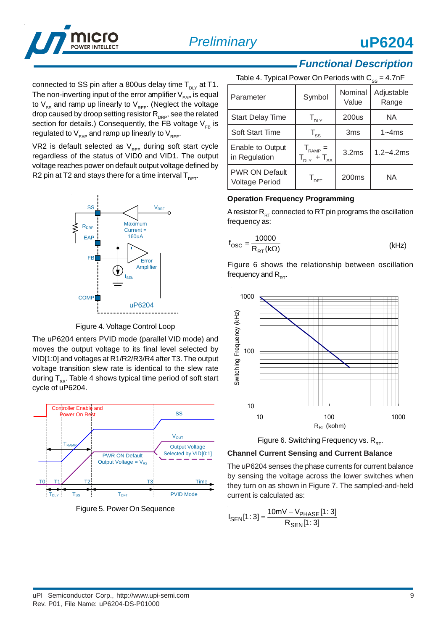

connected to SS pin after a 800us delay time  $T_{\text{div}}$  at T1. The non-inverting input of the error amplifier  $V_{FAP}$  is equal to  $V_{ss}$  and ramp up linearly to  $V_{REF}$ . (Neglect the voltage drop caused by droop setting resistor  $R_{\text{DRP}}$ , see the related section for details.) Consequently, the FB voltage  $V_{F_B}$  is regulated to  $V_{EAP}$  and ramp up linearly to  $V_{REF}$ .

VR2 is default selected as  $V_{REF}$  during soft start cycle regardless of the status of VID0 and VID1. The output voltage reaches power on default output voltage defined by R2 pin at T2 and stays there for a time interval  $T_{\text{DET}}$ .



Figure 4. Voltage Control Loop

The uP6204 enters PVID mode (parallel VID mode) and moves the output voltage to its final level selected by VID[1:0] and voltages at R1/R2/R3/R4 after T3. The output voltage transition slew rate is identical to the slew rate during  $T_{ss}$ . Table 4 shows typical time period of soft start cycle of uP6204.



Figure 5. Power On Sequence

# *Functional Description*

| Table 4. Typical Power On Periods with $C_{ss} = 4.7$ nF |                                                    |                  |                     |  |  |  |
|----------------------------------------------------------|----------------------------------------------------|------------------|---------------------|--|--|--|
| Parameter                                                | Symbol                                             | Nominal<br>Value | Adjustable<br>Range |  |  |  |
| <b>Start Delay Time</b>                                  | $T_{\text{DLY}}$                                   | <b>200us</b>     | NA.                 |  |  |  |
| <b>Soft Start Time</b>                                   | $T_{ss}$                                           | 3 <sub>ms</sub>  | $1 - 4$ ms          |  |  |  |
| Enable to Output<br>in Regulation                        | $T_{RAMP} =$<br>$T_{\text{DLY}}$ + $T_{\text{SS}}$ | 3.2ms            | $1.2 - 4.2$ ms      |  |  |  |
| <b>PWR ON Default</b><br>Voltage Period                  | $\mathsf{T}_{\mathsf{DFT}}$                        | 200ms            | ΝA                  |  |  |  |

#### **Operation Frequency Programming**

A resistor  $R_{RT}$  connected to RT pin programs the oscillation frequency as:

$$
f_{\rm OSC} = \frac{10000}{R_{\rm RT}(k\Omega)}\tag{kHz}
$$

Figure 6 shows the relationship between oscillation frequency and  $R_{\text{DT}}$ .



Figure 6. Switching Frequency vs.  $R_{DT}$ .

#### **Channel Current Sensing and Current Balance**

The uP6204 senses the phase currents for current balance by sensing the voltage across the lower switches when they turn on as shown in Figure 7. The sampled-and-held current is calculated as:

$$
I_{SEN}[1:3] = \frac{10mV - V_{PHASE}[1:3]}{R_{SEN}[1:3]}
$$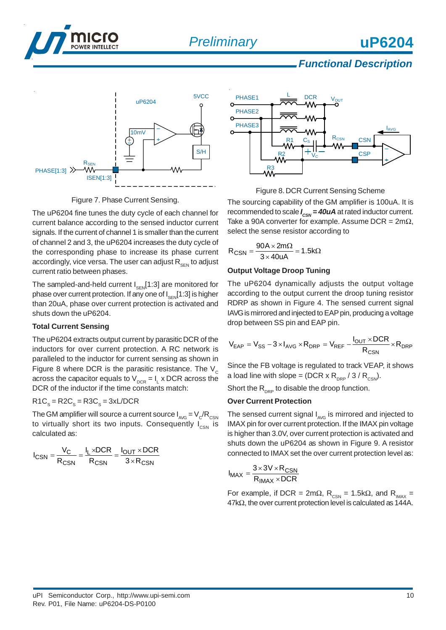

### *Functional Description*



Figure 7. Phase Current Sensing.

The uP6204 fine tunes the duty cycle of each channel for current balance according to the sensed inductor current signals. If the current of channel 1 is smaller than the current of channel 2 and 3, the uP6204 increases the duty cycle of the corresponding phase to increase its phase current accordingly, vice versa. The user can adjust  $R_{\text{SEN}}$  to adjust current ratio between phases.

The sampled-and-held current  $I_{\text{SEN}}[1:3]$  are monitored for phase over current protection. If any one of  $I_{\text{SEN}}[1:3]$  is higher than 20uA, phase over current protection is activated and shuts down the uP6204.

#### **Total Current Sensing**

The uP6204 extracts output current by parasitic DCR of the inductors for over current protection. A RC network is paralleled to the inductor for current sensing as shown in Figure 8 where DCR is the parasitic resistance. The  $V_c$ across the capacitor equals to V $_{\textnormal{\tiny{DCR}}}$  = I<sub>L</sub> x DCR across the DCR of the inductor if the time constants match:

#### $R1C_s = R2C_s = R3C_s = 3xL/DCR$

The GM amplifier will source a current source  $I_{AVG} = V_C/R_{CSN}$ to virtually short its two inputs. Consequently  $I_{CSN}$  is calculated as:

$$
I_{CSN} = \frac{V_C}{R_{CSN}} = \frac{I_L \times DCR}{R_{CSN}} = \frac{I_{OUT} \times DCR}{3 \times R_{CSN}}
$$





The sourcing capability of the GM amplifier is 100uA. It is recommended to scale  $I_{\text{csw}} = 40uA$  at rated inductor current. Take a 90A converter for example. Assume DCR =  $2m\Omega$ , select the sense resistor according to

$$
R_{CSN} = \frac{90A \times 2m\Omega}{3 \times 40uA} = 1.5k\Omega
$$

#### **Output Voltage Droop Tuning**

The uP6204 dynamically adjusts the output voltage according to the output current the droop tuning resistor RDRP as shown in Figure 4. The sensed current signal IAVG is mirrored and injected to EAP pin, producing a voltage drop between SS pin and EAP pin.

$$
V_{EAP} = V_{SS} - 3 \times I_{AVG} \times R_{DRP} = V_{REF} - \frac{I_{OUT} \times DCR}{R_{CSN}} \times R_{DRP}
$$

Since the FB voltage is regulated to track VEAP, it shows a load line with slope = (DCR x  $R_{\text{DRP}}$  / 3 /  $R_{\text{CSN}}$ ).

Short the  $R_{\text{DPP}}$  to disable the droop function.

#### **Over Current Protection**

The sensed current signal  $I_{\text{avg}}$  is mirrored and injected to IMAX pin for over current protection. If the IMAX pin voltage is higher than 3.0V, over current protection is activated and shuts down the uP6204 as shown in Figure 9. A resistor connected to IMAX set the over current protection level as:

$$
I_{MAX} = \frac{3 \times 3V \times R_{CSN}}{R_{IMAX} \times DCR}
$$

For example, if DCR = 2mΩ,  $R_{\text{csn}}$  = 1.5kΩ, and  $R_{\text{IMAX}}$  = 47kΩ, the over current protection level is calculated as 144A.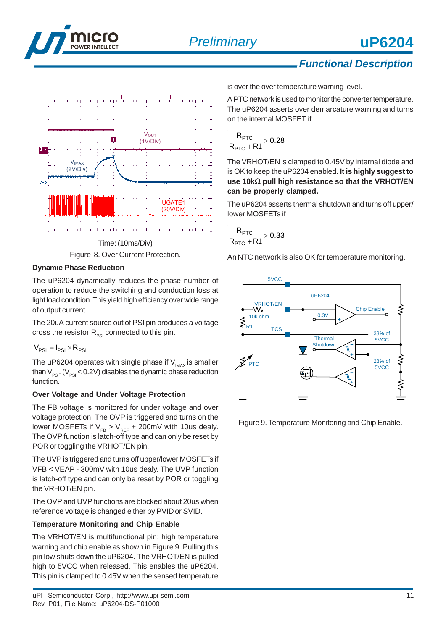

### *Functional Description*



Figure 8. Over Current Protection.

#### **Dynamic Phase Reduction**

The uP6204 dynamically reduces the phase number of operation to reduce the switching and conduction loss at light load condition. This yield high efficiency over wide range of output current.

The 20uA current source out of PSI pin produces a voltage cross the resistor  $R_{PSI}$  connected to this pin.

$$
V_{PSI} = I_{PSI} \times R_{PSI}
$$

The uP6204 operates with single phase if  $V_{\text{IMAX}}$  is smaller than  $V_{PSI}$ . ( $V_{PSI}$  < 0.2V) disables the dynamic phase reduction function.

#### **Over Voltage and Under Voltage Protection**

The FB voltage is monitored for under voltage and over voltage protection. The OVP is triggered and turns on the lower MOSFETs if  $V_{FB} > V_{REF} + 200 \text{mV}$  with 10us dealy. The OVP function is latch-off type and can only be reset by POR or toggling the VRHOT/EN pin.

The UVP is triggered and turns off upper/lower MOSFETs if VFB < VEAP - 300mV with 10us dealy. The UVP function is latch-off type and can only be reset by POR or toggling the VRHOT/EN pin.

The OVP and UVP functions are blocked about 20us when reference voltage is changed either by PVID or SVID.

#### **Temperature Monitoring and Chip Enable**

The VRHOT/EN is multifunctional pin: high temperature warning and chip enable as shown in Figure 9. Pulling this pin low shuts down the uP6204. The VRHOT/EN is pulled high to 5VCC when released. This enables the uP6204. This pin is clamped to 0.45V when the sensed temperature

is over the over temperature warning level.

A PTC network is used to monitor the converter temperature. The uP6204 asserts over demarcature warning and turns on the internal MOSFET if

$$
\frac{R_{\text{PTC}}}{R_{\text{PTC}} + R1} > 0.28
$$

The VRHOT/EN is clamped to 0.45V by internal diode and is OK to keep the uP6204 enabled. **It is highly suggest to use 10k**Ω **pull high resistance so that the VRHOT/EN can be properly clamped.**

The uP6204 asserts thermal shutdown and turns off upper/ lower MOSFETs if

$$
\frac{R_{\text{PTC}}}{R_{\text{PTC}}+R1}>0.33
$$

An NTC network is also OK for temperature monitoring.



Figure 9. Temperature Monitoring and Chip Enable.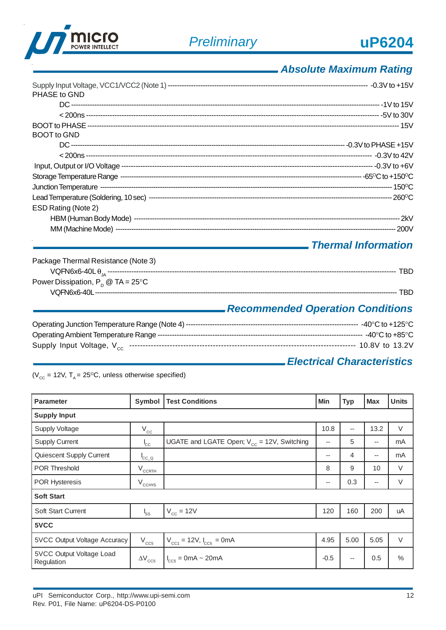

## *Absolute Maximum Rating*

| PHASE to GND        |  |
|---------------------|--|
|                     |  |
|                     |  |
|                     |  |
| <b>BOOT</b> to GND  |  |
|                     |  |
|                     |  |
|                     |  |
|                     |  |
|                     |  |
|                     |  |
| ESD Rating (Note 2) |  |
|                     |  |
|                     |  |

### *Thermal Information*

| Package Thermal Resistance (Note 3)  |                                         |
|--------------------------------------|-----------------------------------------|
|                                      | TRD                                     |
| Power Dissipation, $P_p @ TA = 25°C$ |                                         |
|                                      | TRD.                                    |
|                                      | <b>Recommended Operation Conditions</b> |

### *Electrical Characteristics*

( $V_{\text{cc}}$  = 12V, T<sub>A</sub> = 25<sup>o</sup>C, unless otherwise specified)

| <b>Parameter</b>                       | Symbol                        | <b>Test Conditions</b>                          | <b>Min</b> | <b>Typ</b>               | <b>Max</b>               | <b>Units</b>  |  |  |
|----------------------------------------|-------------------------------|-------------------------------------------------|------------|--------------------------|--------------------------|---------------|--|--|
| <b>Supply Input</b>                    |                               |                                                 |            |                          |                          |               |  |  |
| <b>Supply Voltage</b>                  | $V_{\text{cc}}$               |                                                 | 10.8       | --                       | 13.2                     | $\vee$        |  |  |
| <b>Supply Current</b>                  | $^{\prime}$ <sub>CC</sub>     | UGATE and LGATE Open; $V_{cc}$ = 12V, Switching | $-$        | 5                        | $\overline{\phantom{a}}$ | mA            |  |  |
| Quiescent Supply Current               | ${}^{\mathsf{I}}$ cc_ $\circ$ |                                                 | --         | 4                        | $\hspace{0.05cm}$        | mA            |  |  |
| <b>POR Threshold</b>                   | $V_{CCRTH}$                   |                                                 | 8          | 9                        | 10                       | V             |  |  |
| <b>POR Hysteresis</b>                  | $V_{CCHYS}$                   |                                                 | $- -$      | 0.3                      | $\overline{\phantom{a}}$ | V             |  |  |
| <b>Soft Start</b>                      |                               |                                                 |            |                          |                          |               |  |  |
| <b>Soft Start Current</b>              | $I_{SS}$                      | $V_{cc}$ = 12V                                  | 120        | 160                      | 200                      | uA            |  |  |
| 5VCC                                   |                               |                                                 |            |                          |                          |               |  |  |
| 5VCC Output Voltage Accuracy           | $V_{CC5}$                     | $V_{cc1} = 12V, I_{cc5} = 0mA$                  | 4.95       | 5.00                     | 5.05                     | $\vee$        |  |  |
| 5VCC Output Voltage Load<br>Regulation | $\Delta V_{CC5}$              | $I_{CC5}$ = 0mA ~ 20mA                          | $-0.5$     | $\overline{\phantom{m}}$ | 0.5                      | $\frac{0}{0}$ |  |  |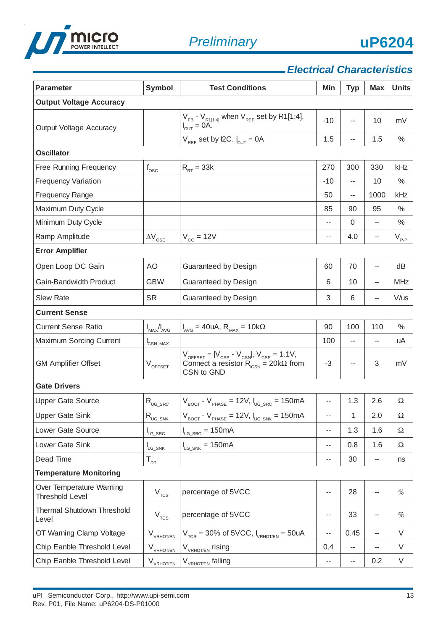



## *Electrical Characteristics*

| <b>Parameter</b>                                   | <b>Symbol</b>                        | <b>Test Conditions</b>                                                                                                                                  |       | <b>Typ</b> | <b>Max</b> | <b>Units</b> |  |  |  |  |  |  |
|----------------------------------------------------|--------------------------------------|---------------------------------------------------------------------------------------------------------------------------------------------------------|-------|------------|------------|--------------|--|--|--|--|--|--|
| <b>Output Voltage Accuracy</b>                     |                                      |                                                                                                                                                         |       |            |            |              |  |  |  |  |  |  |
| Output Voltage Accuracy                            |                                      | $V_{FB}$ - $V_{R1[1:4]}$ when $V_{REF}$ set by R1[1:4],<br>$I_{\text{OUT}} = OA$ .                                                                      | $-10$ | --         | 10         | mV           |  |  |  |  |  |  |
|                                                    |                                      | $V_{REF}$ set by I2C. $I_{OUT} = 0A$                                                                                                                    | 1.5   | --         | 1.5        | $\%$         |  |  |  |  |  |  |
| <b>Oscillator</b>                                  |                                      |                                                                                                                                                         |       |            |            |              |  |  |  |  |  |  |
| Free Running Frequency                             | $f_{\rm osc}$                        | $R_{RT}$ = 33k                                                                                                                                          | 270   | 300        | 330        | kHz          |  |  |  |  |  |  |
| <b>Frequency Variation</b>                         |                                      |                                                                                                                                                         | $-10$ |            | 10         | $\%$         |  |  |  |  |  |  |
| <b>Frequency Range</b>                             |                                      |                                                                                                                                                         | 50    | --         | 1000       | kHz          |  |  |  |  |  |  |
| Maximum Duty Cycle                                 |                                      |                                                                                                                                                         | 85    | 90         | 95         | $\%$         |  |  |  |  |  |  |
| Minimum Duty Cycle                                 |                                      |                                                                                                                                                         | --    | 0          | --         | $\%$         |  |  |  |  |  |  |
| Ramp Amplitude                                     | $\Delta V$ <sub>OSC</sub>            | $V_{cc}$ = 12V                                                                                                                                          | --    | 4.0        | --         | $V_{p,p}$    |  |  |  |  |  |  |
| <b>Error Amplifier</b>                             |                                      |                                                                                                                                                         |       |            |            |              |  |  |  |  |  |  |
| Open Loop DC Gain                                  | <b>AO</b>                            | Guaranteed by Design                                                                                                                                    | 60    | 70         | --         | dB           |  |  |  |  |  |  |
| Gain-Bandwidth Product                             | <b>GBW</b>                           | Guaranteed by Design                                                                                                                                    | 6     | 10         | --         | <b>MHz</b>   |  |  |  |  |  |  |
| <b>Slew Rate</b>                                   | <b>SR</b>                            | Guaranteed by Design                                                                                                                                    | 3     | 6          | --         | $V/$ us      |  |  |  |  |  |  |
| <b>Current Sense</b>                               |                                      |                                                                                                                                                         |       |            |            |              |  |  |  |  |  |  |
| <b>Current Sense Ratio</b>                         | $I_{MAX}/I_{AVG}$                    | $I_{AVG}$ = 40uA, $R_{MAX}$ = 10k $\Omega$                                                                                                              | 90    | 100        | 110        | $\%$         |  |  |  |  |  |  |
| Maximum Sorcing Current                            | CSN_MAX                              |                                                                                                                                                         | 100   | --         | --         | uA           |  |  |  |  |  |  |
| <b>GM Amplifier Offset</b>                         | $V_{\text{OFFSET}}$                  | $V_{\text{OFFSET}} =  V_{\text{CSP}} - V_{\text{CSN}} , V_{\text{CSP}} = 1.1 V,$<br>Connect a resistor $R_{\text{CSN}} = 20 k\Omega$ from<br>CSN to GND | $-3$  | $-$        | 3          | mV           |  |  |  |  |  |  |
| <b>Gate Drivers</b>                                |                                      |                                                                                                                                                         |       |            |            |              |  |  |  |  |  |  |
| <b>Upper Gate Source</b>                           | $R_{\text{UG\_SRC}}$                 | $V_{\text{BOOT}}$ - $V_{\text{PHASE}}$ = 12V, $I_{\text{UG\_SRC}}$ = 150mA                                                                              | --    | 1.3        | 2.6        | Ω            |  |  |  |  |  |  |
| Upper Gate Sink                                    | $R_{\text{UG\_SNK}}$                 | $V_{\text{BOOT}}$ - $V_{\text{PHASE}}$ = 12V, $I_{\text{UG\_SNK}}$ = 150mA                                                                              | --    | 1          | 2.0        | Ω            |  |  |  |  |  |  |
| Lower Gate Source                                  | L <sub>G_SRC</sub>                   | $I_{LG\_SRC} = 150mA$                                                                                                                                   | --    | 1.3        | 1.6        | Ω            |  |  |  |  |  |  |
| Lower Gate Sink                                    | LG_SNK                               | $I_{LG\_SNK} = 150mA$                                                                                                                                   | --    | 0.8        | 1.6        | $\Omega$     |  |  |  |  |  |  |
| Dead Time                                          | $T_{\text{DT}}$                      |                                                                                                                                                         | --    | 30         | $- -$      | ns           |  |  |  |  |  |  |
| <b>Temperature Monitoring</b>                      |                                      |                                                                                                                                                         |       |            |            |              |  |  |  |  |  |  |
| Over Temperature Warning<br><b>Threshold Level</b> | $\rm V_{\rm \scriptscriptstyle TCS}$ | percentage of 5VCC                                                                                                                                      | --    | 28         | $- -$      | $\%$         |  |  |  |  |  |  |
| <b>Thermal Shutdown Threshold</b><br>Level         | $\rm V_{\rm \scriptscriptstyle TCS}$ | percentage of 5VCC                                                                                                                                      | --    | 33         | $- -$      | %            |  |  |  |  |  |  |
| OT Warning Clamp Voltage                           | $V_{V\text{RHOT/EN}}$                | $V_{TCS}$ = 30% of 5VCC, $I_{VRHOT/EN}$ = 50uA                                                                                                          | --    | 0.45       | --         | V            |  |  |  |  |  |  |
| Chip Eanble Threshold Level                        | $V_{VRI\underline{\text{OMEN}}}$     | V <sub>vrhot/en</sub> rising                                                                                                                            | 0.4   | --         | $- -$      | V            |  |  |  |  |  |  |
| Chip Eanble Threshold Level                        | $V_{V\text{RHOT/EN}}$                | V <sub>VRHOT/EN</sub> falling                                                                                                                           |       | ۰.         | 0.2        | V            |  |  |  |  |  |  |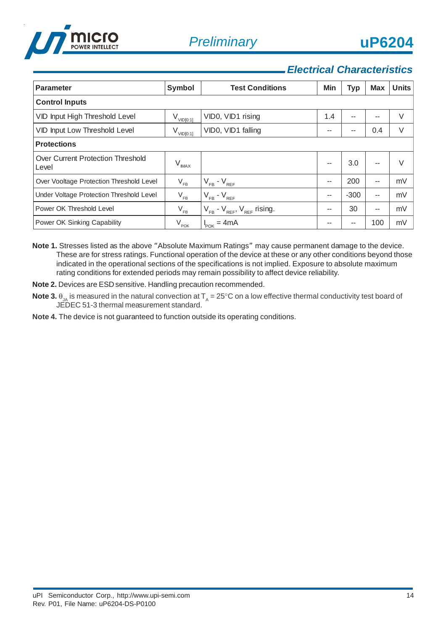



### *Electrical Characteristics*

| <b>Parameter</b>                           | Symbol                     | <b>Test Conditions</b>                   | Min | <b>Typ</b> | <b>Max</b> | <b>Units</b> |  |  |  |  |  |
|--------------------------------------------|----------------------------|------------------------------------------|-----|------------|------------|--------------|--|--|--|--|--|
| <b>Control Inputs</b>                      |                            |                                          |     |            |            |              |  |  |  |  |  |
| VID Input High Threshold Level             | $V_{VID[0:1]}$             | VID0, VID1 rising                        | 1.4 | --         | --         | V            |  |  |  |  |  |
| VID Input Low Threshold Level              | $V_{VID[0:1]}$             | VID0, VID1 falling                       | --  | $- -$      | 0.4        | V            |  |  |  |  |  |
| <b>Protections</b>                         |                            |                                          |     |            |            |              |  |  |  |  |  |
| Over Current Protection Threshold<br>Level | $V_{MAX}$                  |                                          |     | 3.0        | --         | $\vee$       |  |  |  |  |  |
| Over Vooltage Protection Threshold Level   | $\mathsf{V}_{\mathsf{FB}}$ | $V_{FB} - V_{REF}$                       | --  | 200        | --         | mV           |  |  |  |  |  |
| Under Voltage Protection Threshold Level   | $\rm V_{\rm FB}$           | $V_{FB} - V_{REF}$                       | --  | $-300$     | $- -$      | mV           |  |  |  |  |  |
| Power OK Threshold Level                   | $V_{FB}$                   | $V_{FB}$ - $V_{REF}$ , $V_{REF}$ rising. | --  | 30         | --         | mV           |  |  |  |  |  |
| Power OK Sinking Capability                | V <sub>POK</sub>           | $I_{POK} = 4mA$                          |     | $- -$      | 100        | mV           |  |  |  |  |  |

- **Note 1.** Stresses listed as the above "Absolute Maximum Ratings" may cause permanent damage to the device. These are for stress ratings. Functional operation of the device at these or any other conditions beyond those indicated in the operational sections of the specifications is not implied. Exposure to absolute maximum rating conditions for extended periods may remain possibility to affect device reliability.
- **Note 2.** Devices are ESD sensitive. Handling precaution recommended.
- **Note 3.**  $\theta_A$  is measured in the natural convection at  $T_A = 25^\circ \text{C}$  on a low effective thermal conductivity test board of JEDEC 51-3 thermal measurement standard.
- **Note 4.** The device is not guaranteed to function outside its operating conditions.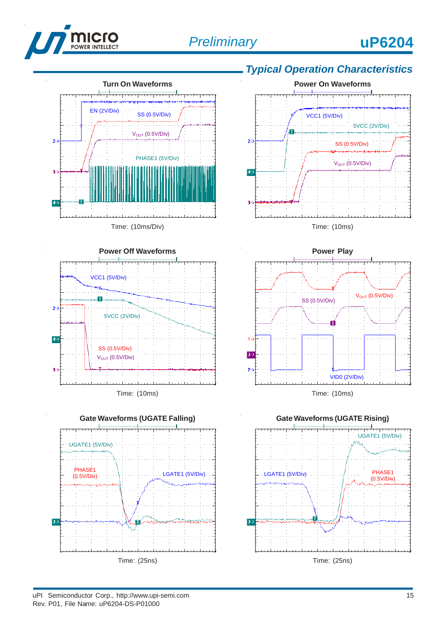





Time: (10ms)



# *Typical Operation Characteristics*





Time: (10ms)



#### uPI Semiconductor Corp., http://www.upi-semi.com 15 Rev. P01, File Name: uP6204-DS-P01000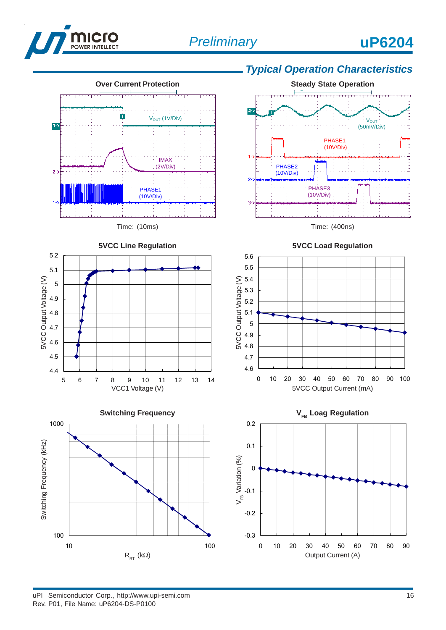

4.9 5

5.1 5.2



**5VCC Line Regulation**

## *Typical Operation Characteristics*

**Steady State Operation**











uPI Semiconductor Corp., http://www.upi-semi.com 16 Rev. P01, File Name: uP6204-DS-P0100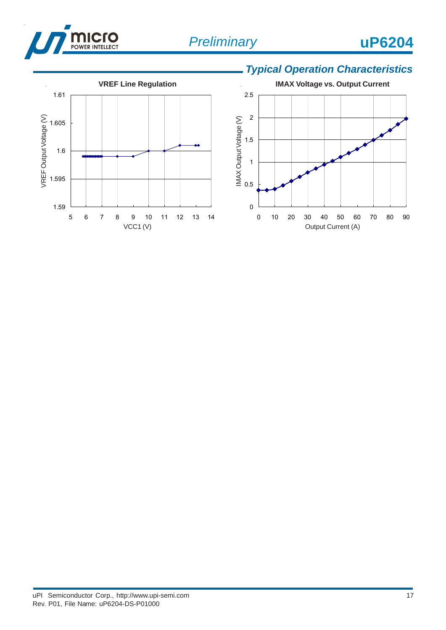

# *Typical Operation Characteristics*



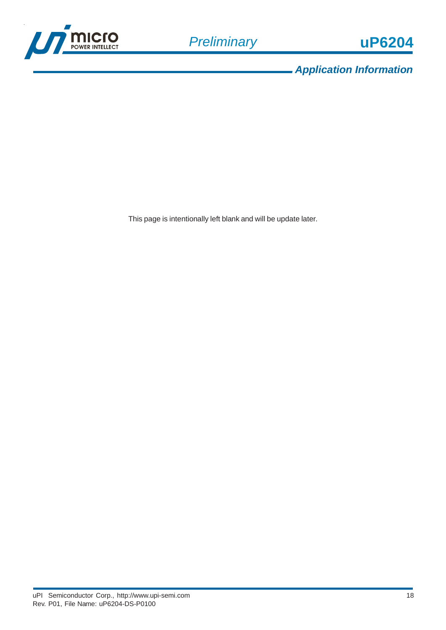

*Application Information*

This page is intentionally left blank and will be update later.